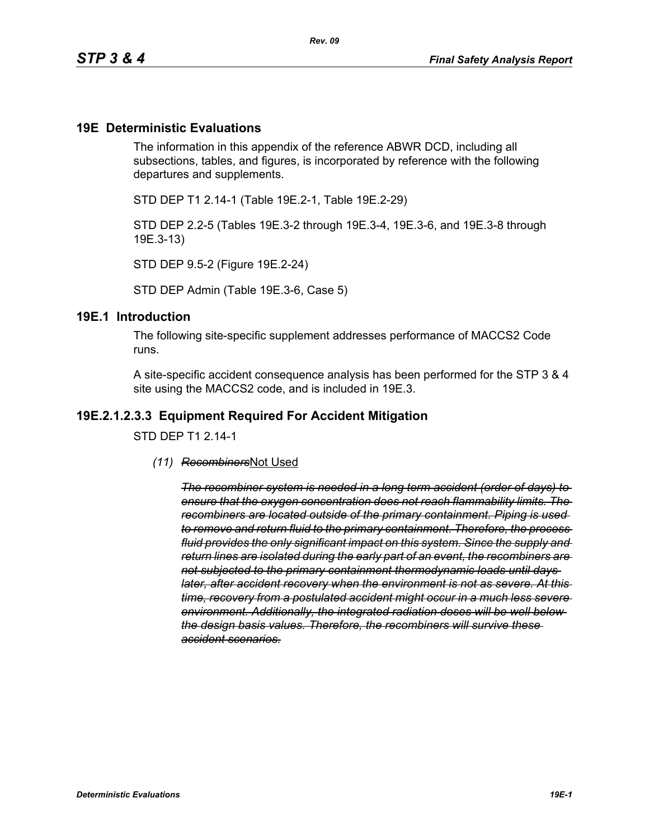#### **19E Deterministic Evaluations**

The information in this appendix of the reference ABWR DCD, including all subsections, tables, and figures, is incorporated by reference with the following departures and supplements.

STD DEP T1 2.14-1 (Table 19E.2-1, Table 19E.2-29)

STD DEP 2.2-5 (Tables 19E.3-2 through 19E.3-4, 19E.3-6, and 19E.3-8 through 19E.3-13)

STD DEP 9.5-2 (Figure 19E.2-24)

STD DEP Admin (Table 19E.3-6, Case 5)

#### **19E.1 Introduction**

The following site-specific supplement addresses performance of MACCS2 Code runs.

A site-specific accident consequence analysis has been performed for the STP 3 & 4 site using the MACCS2 code, and is included in 19E.3.

#### **19E.2.1.2.3.3 Equipment Required For Accident Mitigation**

STD DEP T1 2.14-1

*(11) Recombiners*Not Used

*The recombiner system is needed in a long term accident (order of days) to ensure that the oxygen concentration does not reach flammability limits. The recombiners are located outside of the primary containment. Piping is used to remove and return fluid to the primary containment. Therefore, the process fluid provides the only significant impact on this system. Since the supply and return lines are isolated during the early part of an event, the recombiners are not subjected to the primary containment thermodynamic loads until days later, after accident recovery when the environment is not as severe. At this time, recovery from a postulated accident might occur in a much less severe environment. Additionally, the integrated radiation doses will be well below the design basis values. Therefore, the recombiners will survive these accident scenarios.*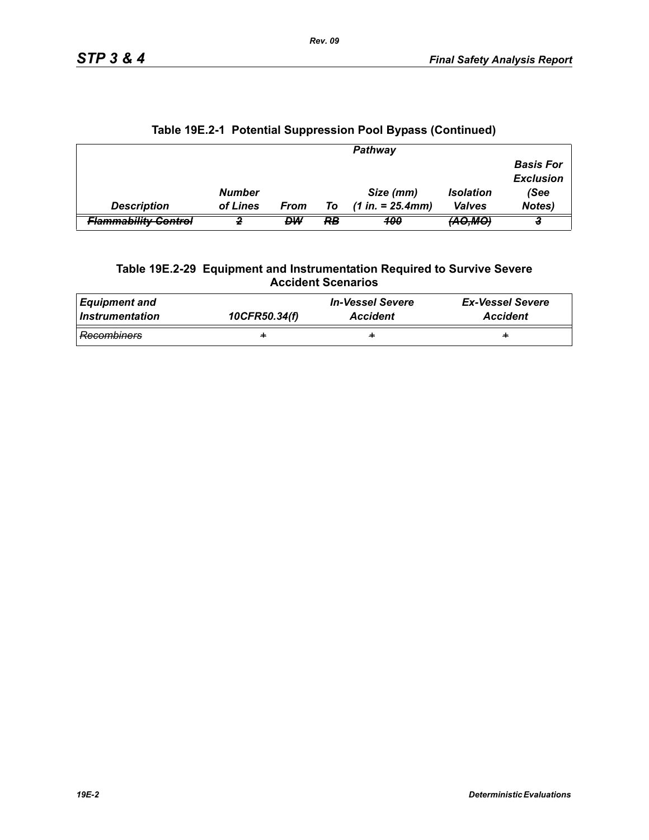|                                 |               |      |    | Pathway             |                         |                                      |
|---------------------------------|---------------|------|----|---------------------|-------------------------|--------------------------------------|
|                                 |               |      |    |                     |                         | <b>Basis For</b><br><b>Exclusion</b> |
|                                 | <b>Number</b> |      |    | Size (mm)           | <i><b>Isolation</b></i> | (See                                 |
| <b>Description</b>              | of Lines      | From | To | $(1 in. = 25.4 mm)$ | <b>Valves</b>           | <b>Notes)</b>                        |
| <del>Flammability Control</del> |               | DW   | RB | 400                 | <del>(AO,MO</del>       |                                      |

# **Table 19E.2-1 Potential Suppression Pool Bypass (Continued)**

#### **Table 19E.2-29 Equipment and Instrumentation Required to Survive Severe Accident Scenarios**

| <b>Equipment and</b> | 10CFR50.34(f) | <b>In-Vessel Severe</b> | <b>Ex-Vessel Severe</b> |
|----------------------|---------------|-------------------------|-------------------------|
| Instrumentation      |               | <b>Accident</b>         | <b>Accident</b>         |
| <b>Recombiners</b>   | ÷             | ÷                       | ÷                       |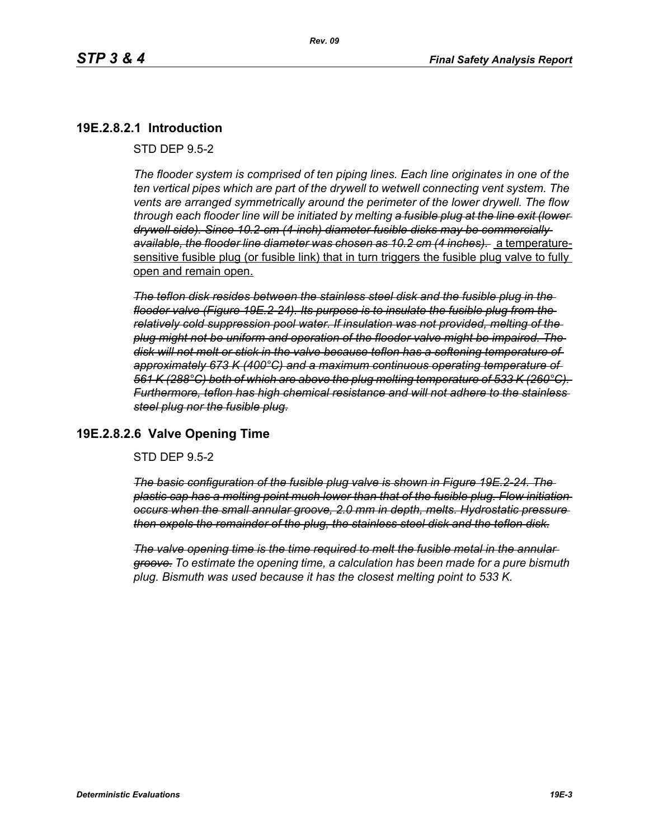# **19E.2.8.2.1 Introduction**

STD DEP 9.5-2

*The flooder system is comprised of ten piping lines. Each line originates in one of the ten vertical pipes which are part of the drywell to wetwell connecting vent system. The vents are arranged symmetrically around the perimeter of the lower drywell. The flow through each flooder line will be initiated by melting a fusible plug at the line exit (lower drywell side). Since 10.2-cm (4-inch) diameter fusible disks may be commercially available, the flooder line diameter was chosen as 10.2 cm (4 inches).* a temperaturesensitive fusible plug (or fusible link) that in turn triggers the fusible plug valve to fully open and remain open.

*The teflon disk resides between the stainless steel disk and the fusible plug in the flooder valve (Figure 19E.2-24). Its purpose is to insulate the fusible plug from the relatively cold suppression pool water. If insulation was not provided, melting of the plug might not be uniform and operation of the flooder valve might be impaired. The disk will not melt or stick in the valve because teflon has a softening temperature of approximately 673 K (400°C) and a maximum continuous operating temperature of 561 K (288°C) both of which are above the plug melting temperature of 533 K (260°C). Furthermore, teflon has high chemical resistance and will not adhere to the stainless steel plug nor the fusible plug.*

### **19E.2.8.2.6 Valve Opening Time**

STD DEP 9.5-2

*The basic configuration of the fusible plug valve is shown in Figure 19E.2-24. The plastic cap has a melting point much lower than that of the fusible plug. Flow initiation occurs when the small annular groove, 2.0 mm in depth, melts. Hydrostatic pressure then expels the remainder of the plug, the stainless steel disk and the teflon disk.*

*The valve opening time is the time required to melt the fusible metal in the annular groove. To estimate the opening time, a calculation has been made for a pure bismuth plug. Bismuth was used because it has the closest melting point to 533 K.*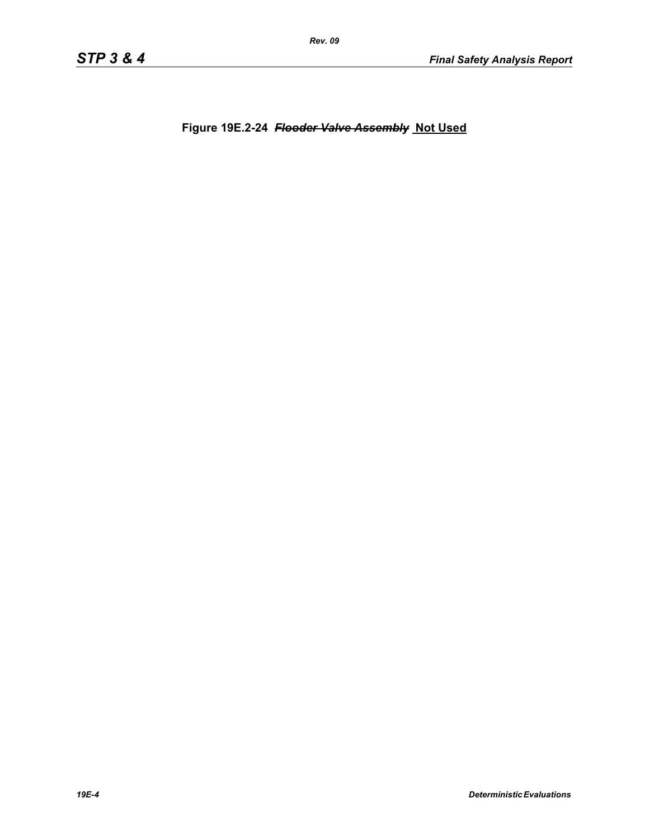**Figure 19E.2-24** *Flooder Valve Assembly* **Not Used**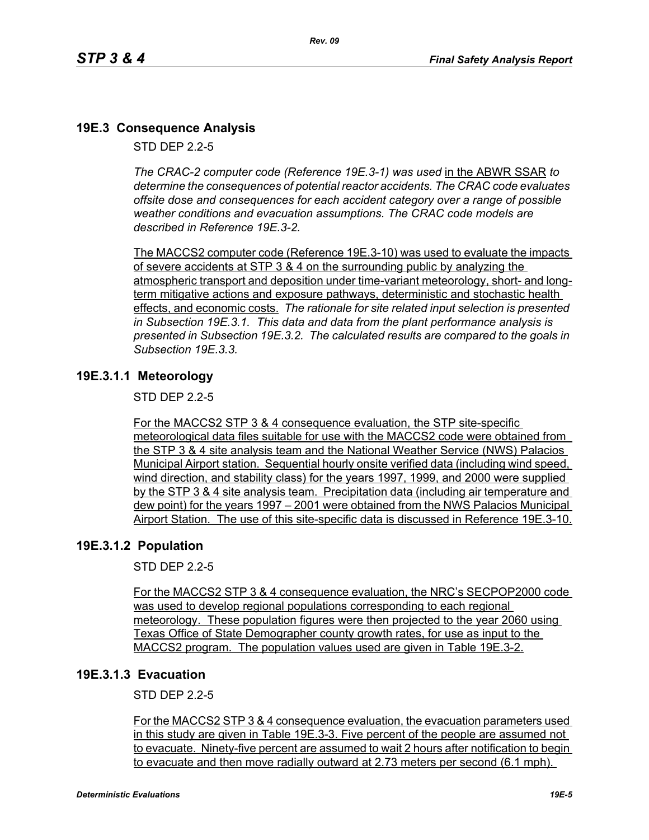# **19E.3 Consequence Analysis**

STD DEP 2.2-5

*The CRAC-2 computer code (Reference 19E.3-1) was used* in the ABWR SSAR *to determine the consequences of potential reactor accidents. The CRAC code evaluates offsite dose and consequences for each accident category over a range of possible weather conditions and evacuation assumptions. The CRAC code models are described in Reference 19E.3-2.* 

The MACCS2 computer code (Reference 19E.3-10) was used to evaluate the impacts of severe accidents at STP 3 & 4 on the surrounding public by analyzing the atmospheric transport and deposition under time-variant meteorology, short- and longterm mitigative actions and exposure pathways, deterministic and stochastic health effects, and economic costs. *The rationale for site related input selection is presented in Subsection 19E.3.1. This data and data from the plant performance analysis is presented in Subsection 19E.3.2. The calculated results are compared to the goals in Subsection 19E.3.3.*

### **19E.3.1.1 Meteorology**

STD DEP 2.2-5

For the MACCS2 STP 3 & 4 consequence evaluation, the STP site-specific meteorological data files suitable for use with the MACCS2 code were obtained from the STP 3 & 4 site analysis team and the National Weather Service (NWS) Palacios Municipal Airport station. Sequential hourly onsite verified data (including wind speed, wind direction, and stability class) for the years 1997, 1999, and 2000 were supplied by the STP 3 & 4 site analysis team. Precipitation data (including air temperature and dew point) for the years 1997 – 2001 were obtained from the NWS Palacios Municipal Airport Station. The use of this site-specific data is discussed in Reference 19E.3-10.

### **19E.3.1.2 Population**

STD DEP 2.2-5

For the MACCS2 STP 3 & 4 consequence evaluation, the NRC's SECPOP2000 code was used to develop regional populations corresponding to each regional meteorology. These population figures were then projected to the year 2060 using Texas Office of State Demographer county growth rates, for use as input to the MACCS2 program. The population values used are given in Table 19E.3-2.

### **19E.3.1.3 Evacuation**

STD DEP 2.2-5

For the MACCS2 STP 3 & 4 consequence evaluation, the evacuation parameters used in this study are given in Table 19E.3-3. Five percent of the people are assumed not to evacuate. Ninety-five percent are assumed to wait 2 hours after notification to begin to evacuate and then move radially outward at 2.73 meters per second (6.1 mph).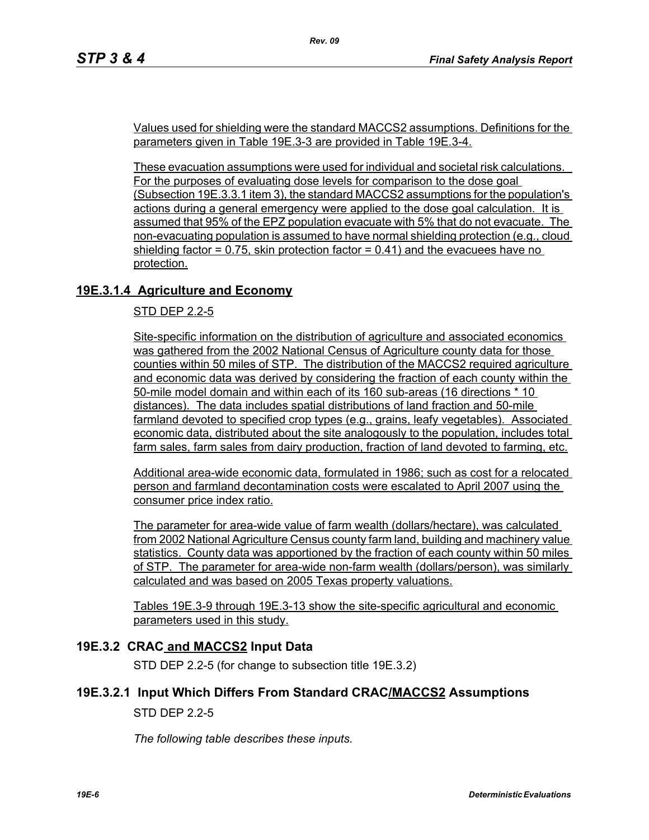Values used for shielding were the standard MACCS2 assumptions. Definitions for the parameters given in Table 19E.3-3 are provided in Table 19E.3-4.

*Rev. 09*

These evacuation assumptions were used for individual and societal risk calculations. For the purposes of evaluating dose levels for comparison to the dose goal (Subsection 19E.3.3.1 item 3), the standard MACCS2 assumptions for the population's actions during a general emergency were applied to the dose goal calculation. It is assumed that 95% of the EPZ population evacuate with 5% that do not evacuate. The non-evacuating population is assumed to have normal shielding protection (e.g., cloud shielding factor  $= 0.75$ , skin protection factor  $= 0.41$ ) and the evacuees have no protection.

# **19E.3.1.4 Agriculture and Economy**

STD DEP 2.2-5

Site-specific information on the distribution of agriculture and associated economics was gathered from the 2002 National Census of Agriculture county data for those counties within 50 miles of STP. The distribution of the MACCS2 required agriculture and economic data was derived by considering the fraction of each county within the 50-mile model domain and within each of its 160 sub-areas (16 directions \* 10 distances). The data includes spatial distributions of land fraction and 50-mile farmland devoted to specified crop types (e.g., grains, leafy vegetables). Associated economic data, distributed about the site analogously to the population, includes total farm sales, farm sales from dairy production, fraction of land devoted to farming, etc.

Additional area-wide economic data, formulated in 1986; such as cost for a relocated person and farmland decontamination costs were escalated to April 2007 using the consumer price index ratio.

The parameter for area-wide value of farm wealth (dollars/hectare), was calculated from 2002 National Agriculture Census county farm land, building and machinery value statistics. County data was apportioned by the fraction of each county within 50 miles of STP. The parameter for area-wide non-farm wealth (dollars/person), was similarly calculated and was based on 2005 Texas property valuations.

Tables 19E.3-9 through 19E.3-13 show the site-specific agricultural and economic parameters used in this study.

### **19E.3.2 CRAC and MACCS2 Input Data**

STD DEP 2.2-5 (for change to subsection title 19E.3.2)

### **19E.3.2.1 Input Which Differs From Standard CRAC/MACCS2 Assumptions**

STD DEP 2.2-5

*The following table describes these inputs.*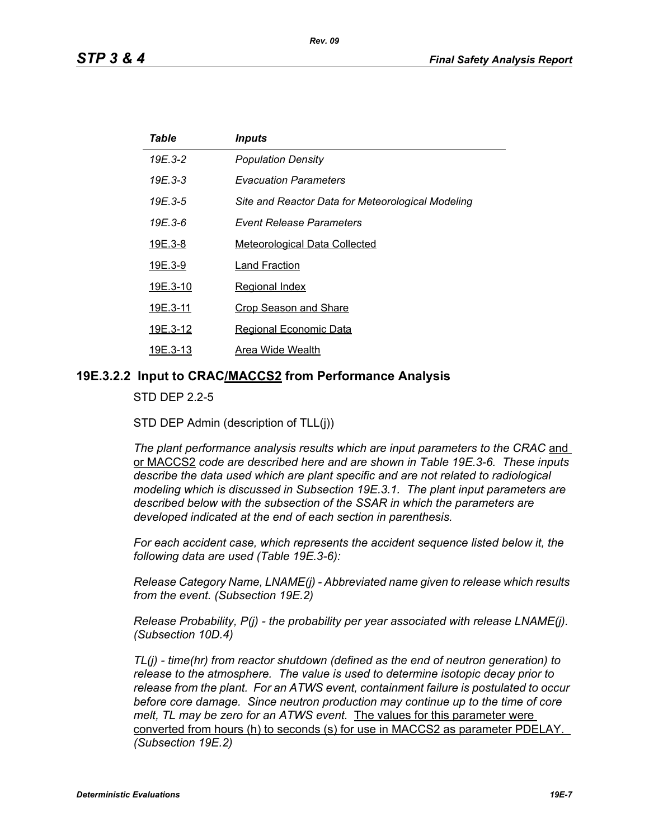| Table    | <i><b>Inputs</b></i>                              |
|----------|---------------------------------------------------|
| 19E.3-2  | <b>Population Density</b>                         |
| 19E.3-3  | <i><b>Evacuation Parameters</b></i>               |
| 19E.3-5  | Site and Reactor Data for Meteorological Modeling |
| 19E 3-6  | Event Release Parameters                          |
| 19E.3-8  | <b>Meteorological Data Collected</b>              |
| 19E.3-9  | Land Fraction                                     |
| 19E.3-10 | <b>Regional Index</b>                             |
| 19E.3-11 | <b>Crop Season and Share</b>                      |
| 19E.3-12 | <b>Regional Economic Data</b>                     |
| 19E.3-13 | Area Wide Wealth                                  |

#### **19E.3.2.2 Input to CRAC/MACCS2 from Performance Analysis**

STD DEP 2.2-5

STD DEP Admin (description of TLL(j))

The plant performance analysis results which are input parameters to the CRAC and or MACCS2 *code are described here and are shown in Table 19E.3-6. These inputs describe the data used which are plant specific and are not related to radiological modeling which is discussed in Subsection 19E.3.1. The plant input parameters are described below with the subsection of the SSAR in which the parameters are developed indicated at the end of each section in parenthesis.*

*For each accident case, which represents the accident sequence listed below it, the following data are used (Table 19E.3-6):*

*Release Category Name, LNAME(j) - Abbreviated name given to release which results from the event. (Subsection 19E.2)*

*Release Probability, P(j) - the probability per year associated with release LNAME(j). (Subsection 10D.4)*

*TL(j) - time(hr) from reactor shutdown (defined as the end of neutron generation) to release to the atmosphere. The value is used to determine isotopic decay prior to release from the plant. For an ATWS event, containment failure is postulated to occur before core damage. Since neutron production may continue up to the time of core melt, TL may be zero for an ATWS event.* The values for this parameter were converted from hours (h) to seconds (s) for use in MACCS2 as parameter PDELAY. *(Subsection 19E.2)*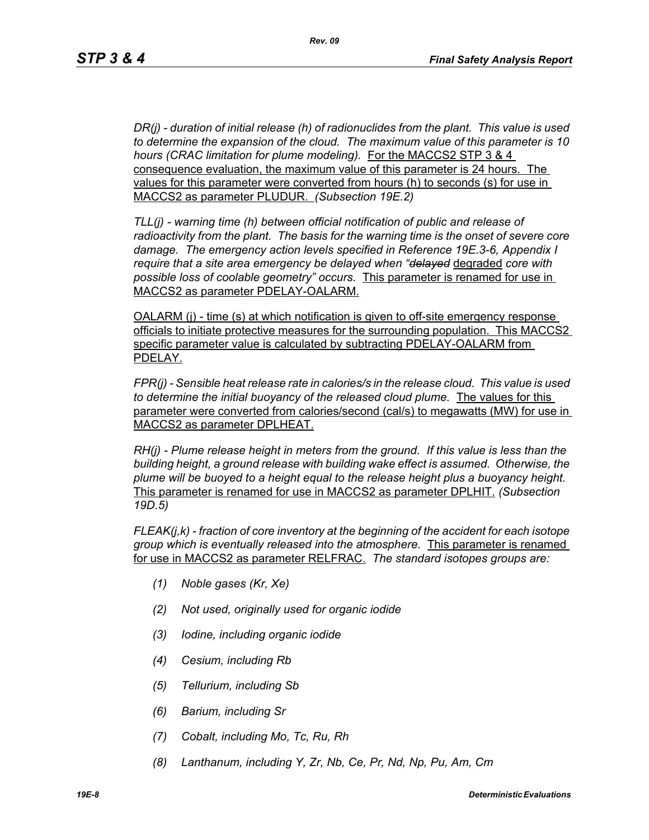*DR(j) - duration of initial release (h) of radionuclides from the plant. This value is used to determine the expansion of the cloud. The maximum value of this parameter is 10 hours (CRAC limitation for plume modeling).* For the MACCS2 STP 3 & 4 consequence evaluation, the maximum value of this parameter is 24 hours. The values for this parameter were converted from hours (h) to seconds (s) for use in MACCS2 as parameter PLUDUR. *(Subsection 19E.2)*

*TLL(j) - warning time (h) between official notification of public and release of radioactivity from the plant. The basis for the warning time is the onset of severe core damage. The emergency action levels specified in Reference 19E.3-6, Appendix I require that a site area emergency be delayed when "delayed* degraded *core with possible loss of coolable geometry" occurs.* This parameter is renamed for use in MACCS2 as parameter PDELAY-OALARM.

OALARM (j) - time (s) at which notification is given to off-site emergency response officials to initiate protective measures for the surrounding population. This MACCS2 specific parameter value is calculated by subtracting PDELAY-OALARM from PDELAY.

*FPR(j) - Sensible heat release rate in calories/s in the release cloud. This value is used to determine the initial buoyancy of the released cloud plume.* The values for this parameter were converted from calories/second (cal/s) to megawatts (MW) for use in MACCS2 as parameter DPLHEAT.

*RH(j) - Plume release height in meters from the ground. If this value is less than the building height, a ground release with building wake effect is assumed. Otherwise, the plume will be buoyed to a height equal to the release height plus a buoyancy height.*  This parameter is renamed for use in MACCS2 as parameter DPLHIT. *(Subsection 19D.5)*

*FLEAK(j,k) - fraction of core inventory at the beginning of the accident for each isotope group which is eventually released into the atmosphere.* This parameter is renamed for use in MACCS2 as parameter RELFRAC. *The standard isotopes groups are:*

- *(1) Noble gases (Kr, Xe)*
- *(2) Not used, originally used for organic iodide*
- *(3) Iodine, including organic iodide*
- *(4) Cesium, including Rb*
- *(5) Tellurium, including Sb*
- *(6) Barium, including Sr*
- *(7) Cobalt, including Mo, Tc, Ru, Rh*
- *(8) Lanthanum, including Y, Zr, Nb, Ce, Pr, Nd, Np, Pu, Am, Cm*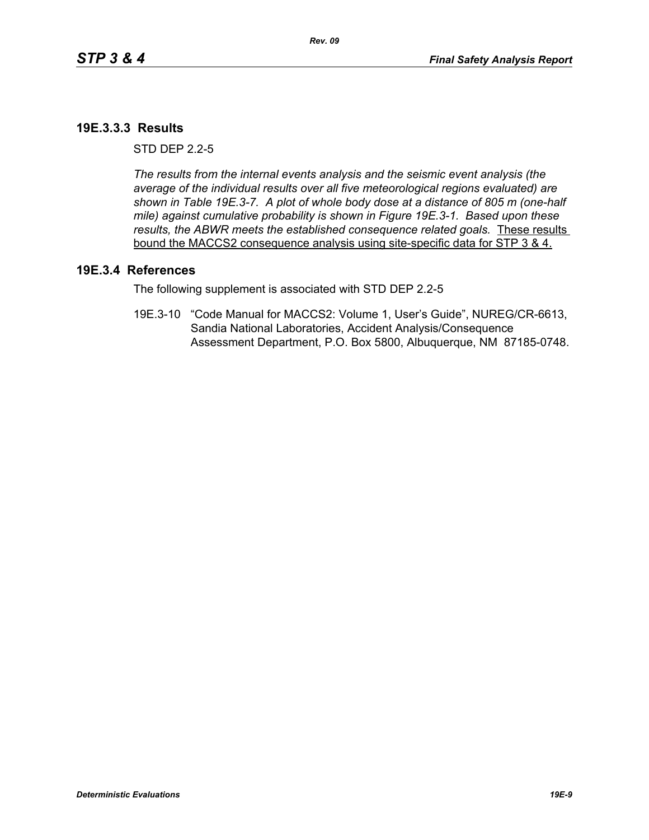### **19E.3.3.3 Results**

 $STD$  DFP  $2.2-5$ 

*The results from the internal events analysis and the seismic event analysis (the average of the individual results over all five meteorological regions evaluated) are shown in Table 19E.3-7. A plot of whole body dose at a distance of 805 m (one-half mile) against cumulative probability is shown in Figure 19E.3-1. Based upon these results, the ABWR meets the established consequence related goals.* These results bound the MACCS2 consequence analysis using site-specific data for STP 3 & 4.

#### **19E.3.4 References**

The following supplement is associated with STD DEP 2.2-5

19E.3-10 "Code Manual for MACCS2: Volume 1, User's Guide", NUREG/CR-6613, Sandia National Laboratories, Accident Analysis/Consequence Assessment Department, P.O. Box 5800, Albuquerque, NM 87185-0748.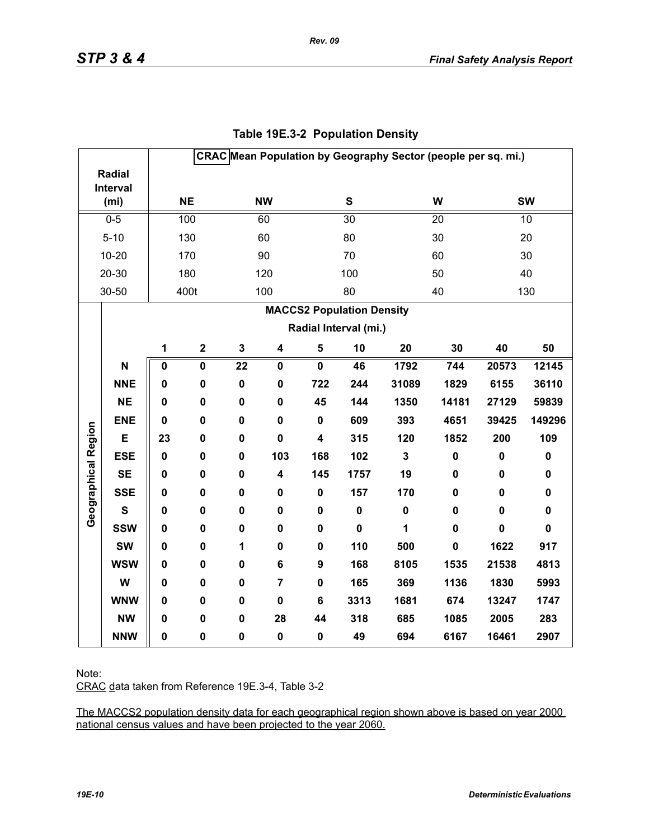|                     |                   | CRAC Mean Population by Geography Sector (people per sq. mi.) |                         |                 |                         |                         |                                  |                         |             |             |             |
|---------------------|-------------------|---------------------------------------------------------------|-------------------------|-----------------|-------------------------|-------------------------|----------------------------------|-------------------------|-------------|-------------|-------------|
|                     | <b>Radial</b>     |                                                               |                         |                 |                         |                         |                                  |                         |             |             |             |
|                     | Interval          |                                                               | <b>NE</b>               |                 | <b>NW</b>               |                         | ${\bf S}$                        |                         | W           |             | <b>SW</b>   |
|                     | (m <sub>i</sub> ) |                                                               |                         |                 |                         |                         |                                  |                         |             |             |             |
|                     | $0 - 5$           |                                                               | 100                     |                 | 60                      |                         | $\overline{30}$                  |                         | 20          |             | 10          |
|                     | $5 - 10$          |                                                               | 130                     |                 | 60                      |                         | 80                               |                         | 30          |             | 20          |
|                     | $10 - 20$         |                                                               | 170                     |                 | 90                      |                         | 70                               |                         | 60          |             | 30          |
|                     | 20-30             |                                                               | 180                     |                 | 120                     |                         | 100                              |                         | 50          |             | 40          |
|                     | 30-50             |                                                               | 400t                    |                 | 100                     |                         | 80                               |                         | 40          |             | 130         |
|                     |                   |                                                               |                         |                 |                         |                         | <b>MACCS2 Population Density</b> |                         |             |             |             |
|                     |                   |                                                               |                         |                 |                         |                         | Radial Interval (mi.)            |                         |             |             |             |
|                     |                   | 1                                                             | $\mathbf 2$             | $\mathbf 3$     | $\overline{\mathbf{4}}$ | $\sqrt{5}$              | 10                               | 20                      | 30          | 40          | 50          |
|                     | N                 | $\pmb{0}$                                                     | $\overline{\mathbf{0}}$ | $\overline{22}$ | $\mathbf 0$             | $\overline{\mathbf{0}}$ | 46                               | 1792                    | 744         | 20573       | 12145       |
|                     | <b>NNE</b>        | 0                                                             | $\mathbf 0$             | $\mathbf 0$     | $\mathbf 0$             | 722                     | 244                              | 31089                   | 1829        | 6155        | 36110       |
|                     | <b>NE</b>         | 0                                                             | 0                       | $\pmb{0}$       | 0                       | 45                      | 144                              | 1350                    | 14181       | 27129       | 59839       |
|                     | <b>ENE</b>        | $\mathbf 0$                                                   | 0                       | $\mathbf 0$     | $\mathbf 0$             | $\mathbf 0$             | 609                              | 393                     | 4651        | 39425       | 149296      |
| Geographical Region | E                 | 23                                                            | 0                       | $\mathbf 0$     | $\mathbf 0$             | 4                       | 315                              | 120                     | 1852        | 200         | 109         |
|                     | <b>ESE</b>        | $\mathbf 0$                                                   | 0                       | $\mathbf 0$     | 103                     | 168                     | 102                              | $\overline{\mathbf{3}}$ | $\pmb{0}$   | $\pmb{0}$   | $\pmb{0}$   |
|                     | <b>SE</b>         | $\mathbf 0$                                                   | $\pmb{0}$               | $\pmb{0}$       | 4                       | 145                     | 1757                             | 19                      | 0           | $\pmb{0}$   | $\pmb{0}$   |
|                     | <b>SSE</b>        | 0                                                             | 0                       | $\mathbf 0$     | 0                       | $\mathbf 0$             | 157                              | 170                     | 0           | 0           | $\pmb{0}$   |
|                     | $\mathbf{s}$      | 0                                                             | 0                       | $\mathbf 0$     | 0                       | 0                       | $\pmb{0}$                        | $\mathbf 0$             | $\mathbf 0$ | 0           | $\pmb{0}$   |
|                     | <b>SSW</b>        | 0                                                             | 0                       | $\mathbf 0$     | 0                       | 0                       | $\mathbf 0$                      | 1                       | $\mathbf 0$ | $\mathbf 0$ | $\mathbf 0$ |
|                     | <b>SW</b>         | 0                                                             | $\mathbf 0$             | $\mathbf{1}$    | 0                       | $\mathbf 0$             | 110                              | 500                     | $\mathbf 0$ | 1622        | 917         |
|                     | <b>WSW</b>        | 0                                                             | 0                       | $\mathbf 0$     | 6                       | 9                       | 168                              | 8105                    | 1535        | 21538       | 4813        |
|                     | W                 | 0                                                             | 0                       | $\mathbf 0$     | $\overline{7}$          | 0                       | 165                              | 369                     | 1136        | 1830        | 5993        |
|                     | <b>WNW</b>        | $\mathbf 0$                                                   | 0                       | $\mathbf 0$     | $\mathbf 0$             | 6                       | 3313                             | 1681                    | 674         | 13247       | 1747        |
|                     | <b>NW</b>         | 0                                                             | 0                       | $\mathbf 0$     | 28                      | 44                      | 318                              | 685                     | 1085        | 2005        | 283         |
|                     | <b>NNW</b>        | 0                                                             | $\pmb{0}$               | $\pmb{0}$       | $\pmb{0}$               | 0                       | 49                               | 694                     | 6167        | 16461       | 2907        |

# **Table 19E.3-2 Population Density**

*Rev. 09*

Note:

CRAC data taken from Reference 19E.3-4, Table 3-2

The MACCS2 population density data for each geographical region shown above is based on year 2000 national census values and have been projected to the year 2060.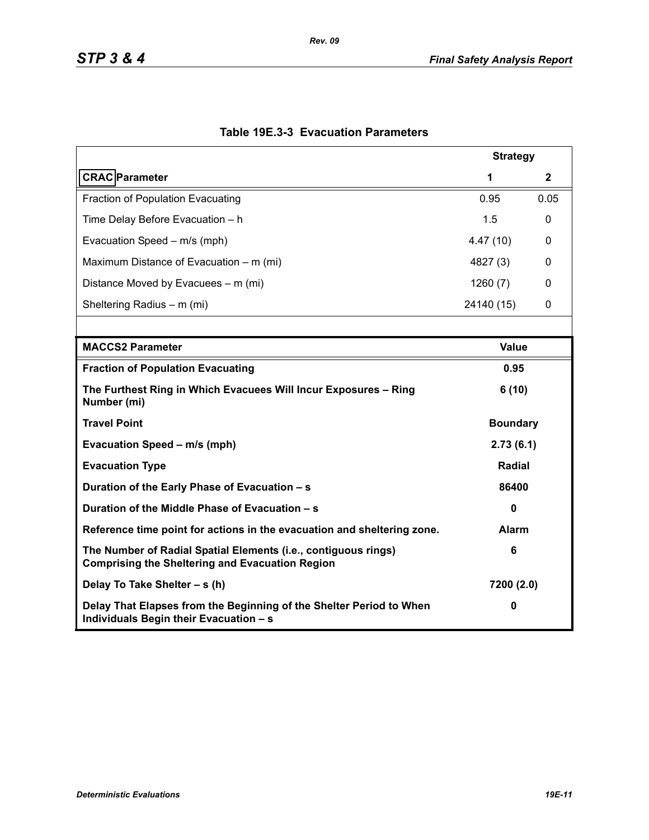| <b>Strategy</b>                                                                                                          |                 |      |  |  |  |
|--------------------------------------------------------------------------------------------------------------------------|-----------------|------|--|--|--|
| <b>CRAC</b> Parameter                                                                                                    | 1               | 2    |  |  |  |
| <b>Fraction of Population Evacuating</b>                                                                                 | 0.95            | 0.05 |  |  |  |
| Time Delay Before Evacuation - h                                                                                         | 1.5             | 0    |  |  |  |
| Evacuation Speed - m/s (mph)                                                                                             | 4.47(10)        | 0    |  |  |  |
| Maximum Distance of Evacuation – m (mi)                                                                                  | 4827 (3)        | 0    |  |  |  |
| Distance Moved by Evacuees – m (mi)                                                                                      | 1260(7)         | 0    |  |  |  |
| Sheltering Radius - m (mi)                                                                                               | 24140 (15)      | 0    |  |  |  |
|                                                                                                                          |                 |      |  |  |  |
| <b>MACCS2 Parameter</b>                                                                                                  | <b>Value</b>    |      |  |  |  |
| <b>Fraction of Population Evacuating</b>                                                                                 | 0.95            |      |  |  |  |
| The Furthest Ring in Which Evacuees Will Incur Exposures - Ring<br>Number (mi)                                           | 6(10)           |      |  |  |  |
| <b>Travel Point</b>                                                                                                      | <b>Boundary</b> |      |  |  |  |
| Evacuation Speed - m/s (mph)                                                                                             | 2.73(6.1)       |      |  |  |  |
| <b>Evacuation Type</b>                                                                                                   | Radial          |      |  |  |  |
| Duration of the Early Phase of Evacuation - s                                                                            | 86400           |      |  |  |  |
| Duration of the Middle Phase of Evacuation - s                                                                           | $\mathbf 0$     |      |  |  |  |
| Reference time point for actions in the evacuation and sheltering zone.                                                  | Alarm           |      |  |  |  |
| The Number of Radial Spatial Elements (i.e., contiguous rings)<br><b>Comprising the Sheltering and Evacuation Region</b> | 6               |      |  |  |  |
| Delay To Take Shelter - s (h)                                                                                            | 7200 (2.0)      |      |  |  |  |
| Delay That Elapses from the Beginning of the Shelter Period to When<br>Individuals Begin their Evacuation - s            | 0               |      |  |  |  |

# **Table 19E.3-3 Evacuation Parameters**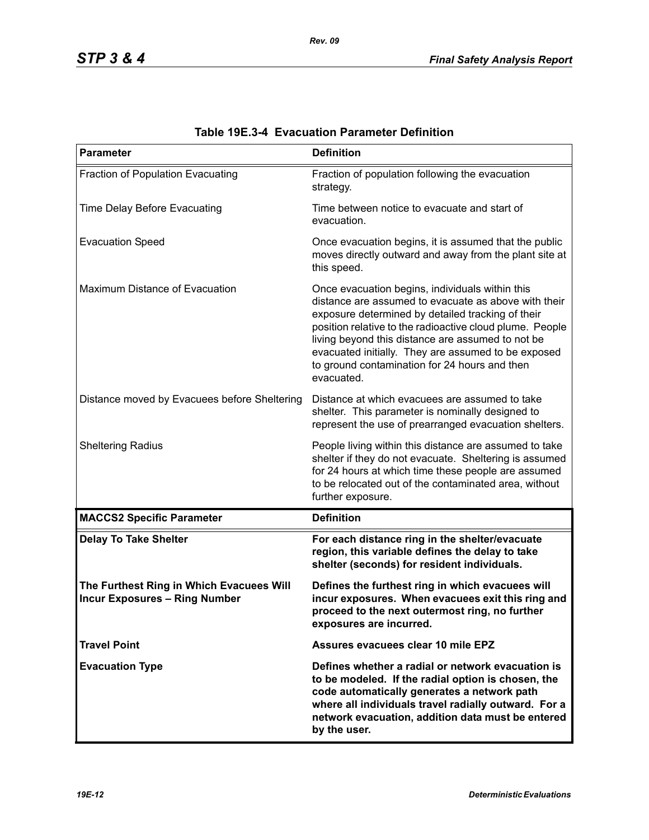| <b>Parameter</b>                                                                 | <b>Definition</b>                                                                                                                                                                                                                                                                                                                                                                                   |
|----------------------------------------------------------------------------------|-----------------------------------------------------------------------------------------------------------------------------------------------------------------------------------------------------------------------------------------------------------------------------------------------------------------------------------------------------------------------------------------------------|
| Fraction of Population Evacuating                                                | Fraction of population following the evacuation<br>strategy.                                                                                                                                                                                                                                                                                                                                        |
| Time Delay Before Evacuating                                                     | Time between notice to evacuate and start of<br>evacuation.                                                                                                                                                                                                                                                                                                                                         |
| <b>Evacuation Speed</b>                                                          | Once evacuation begins, it is assumed that the public<br>moves directly outward and away from the plant site at<br>this speed.                                                                                                                                                                                                                                                                      |
| Maximum Distance of Evacuation                                                   | Once evacuation begins, individuals within this<br>distance are assumed to evacuate as above with their<br>exposure determined by detailed tracking of their<br>position relative to the radioactive cloud plume. People<br>living beyond this distance are assumed to not be<br>evacuated initially. They are assumed to be exposed<br>to ground contamination for 24 hours and then<br>evacuated. |
| Distance moved by Evacuees before Sheltering                                     | Distance at which evacuees are assumed to take<br>shelter. This parameter is nominally designed to<br>represent the use of prearranged evacuation shelters.                                                                                                                                                                                                                                         |
| <b>Sheltering Radius</b>                                                         | People living within this distance are assumed to take<br>shelter if they do not evacuate. Sheltering is assumed<br>for 24 hours at which time these people are assumed<br>to be relocated out of the contaminated area, without<br>further exposure.                                                                                                                                               |
| <b>MACCS2 Specific Parameter</b>                                                 | <b>Definition</b>                                                                                                                                                                                                                                                                                                                                                                                   |
| <b>Delay To Take Shelter</b>                                                     | For each distance ring in the shelter/evacuate<br>region, this variable defines the delay to take<br>shelter (seconds) for resident individuals.                                                                                                                                                                                                                                                    |
| The Furthest Ring in Which Evacuees Will<br><b>Incur Exposures - Ring Number</b> | Defines the furthest ring in which evacuees will<br>incur exposures. When evacuees exit this ring and<br>proceed to the next outermost ring, no further<br>exposures are incurred.                                                                                                                                                                                                                  |
| <b>Travel Point</b>                                                              | Assures evacuees clear 10 mile EPZ                                                                                                                                                                                                                                                                                                                                                                  |
| <b>Evacuation Type</b>                                                           | Defines whether a radial or network evacuation is<br>to be modeled. If the radial option is chosen, the<br>code automatically generates a network path<br>where all individuals travel radially outward. For a<br>network evacuation, addition data must be entered<br>by the user.                                                                                                                 |

| <b>Table 19E.3-4 Evacuation Parameter Definition</b> |  |  |  |
|------------------------------------------------------|--|--|--|
|------------------------------------------------------|--|--|--|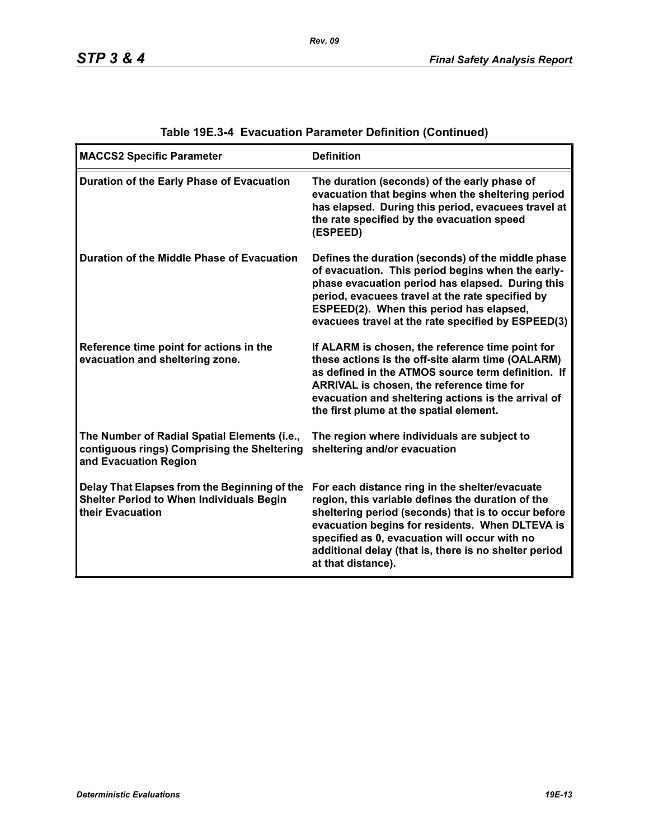| <b>MACCS2 Specific Parameter</b>                                                                                     | <b>Definition</b>                                                                                                                                                                                                                                                                                                                             |
|----------------------------------------------------------------------------------------------------------------------|-----------------------------------------------------------------------------------------------------------------------------------------------------------------------------------------------------------------------------------------------------------------------------------------------------------------------------------------------|
| Duration of the Early Phase of Evacuation                                                                            | The duration (seconds) of the early phase of<br>evacuation that begins when the sheltering period<br>has elapsed. During this period, evacuees travel at<br>the rate specified by the evacuation speed<br>(ESPEED)                                                                                                                            |
| Duration of the Middle Phase of Evacuation                                                                           | Defines the duration (seconds) of the middle phase<br>of evacuation. This period begins when the early-<br>phase evacuation period has elapsed. During this<br>period, evacuees travel at the rate specified by<br>ESPEED(2). When this period has elapsed,<br>evacuees travel at the rate specified by ESPEED(3)                             |
| Reference time point for actions in the<br>evacuation and sheltering zone.                                           | If ALARM is chosen, the reference time point for<br>these actions is the off-site alarm time (OALARM)<br>as defined in the ATMOS source term definition. If<br>ARRIVAL is chosen, the reference time for<br>evacuation and sheltering actions is the arrival of<br>the first plume at the spatial element.                                    |
| The Number of Radial Spatial Elements (i.e.,<br>contiguous rings) Comprising the Sheltering<br>and Evacuation Region | The region where individuals are subject to<br>sheltering and/or evacuation                                                                                                                                                                                                                                                                   |
| Delay That Elapses from the Beginning of the<br><b>Shelter Period to When Individuals Begin</b><br>their Evacuation  | For each distance ring in the shelter/evacuate<br>region, this variable defines the duration of the<br>sheltering period (seconds) that is to occur before<br>evacuation begins for residents. When DLTEVA is<br>specified as 0, evacuation will occur with no<br>additional delay (that is, there is no shelter period<br>at that distance). |

# **Table 19E.3-4 Evacuation Parameter Definition (Continued)**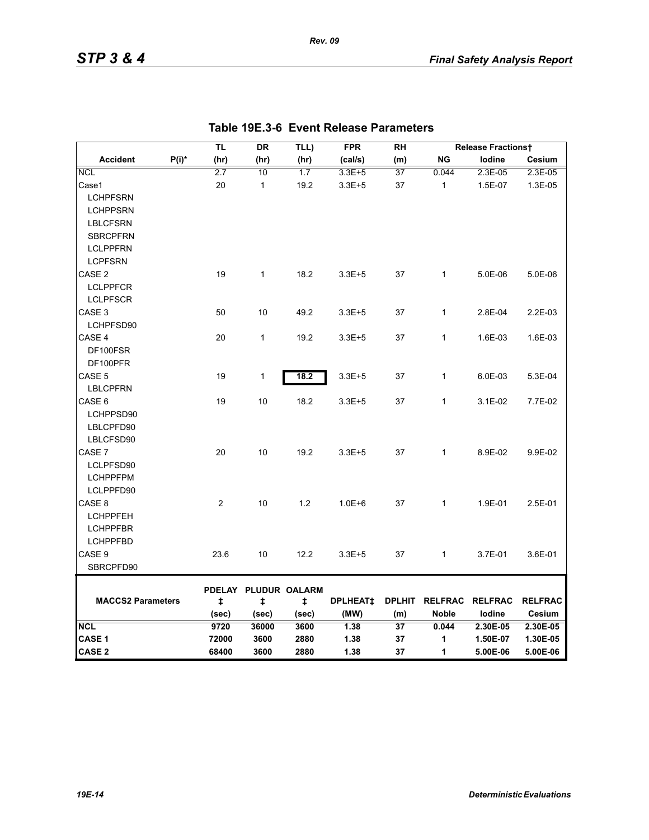|                          |          | <b>TL</b>  | <b>DR</b>            | TLL)        | <b>FPR</b>      | <b>RH</b>     |              | <b>Release Fractionst</b> |                |
|--------------------------|----------|------------|----------------------|-------------|-----------------|---------------|--------------|---------------------------|----------------|
| <b>Accident</b>          | $P(i)^*$ | (hr)       | (hr)                 | (hr)        | (cal/s)         | (m)           | <b>NG</b>    | lodine                    | Cesium         |
| <b>NCL</b>               |          | 2.7        | 10                   | 1.7         | $3.3E + 5$      | 37            | 0.044        | 2.3E-05                   | 2.3E-05        |
| Case1                    |          | 20         | $\mathbf{1}$         | 19.2        | $3.3E + 5$      | 37            | $\mathbf{1}$ | 1.5E-07                   | 1.3E-05        |
| <b>LCHPFSRN</b>          |          |            |                      |             |                 |               |              |                           |                |
| <b>LCHPPSRN</b>          |          |            |                      |             |                 |               |              |                           |                |
| <b>LBLCFSRN</b>          |          |            |                      |             |                 |               |              |                           |                |
| <b>SBRCPFRN</b>          |          |            |                      |             |                 |               |              |                           |                |
| <b>LCLPPFRN</b>          |          |            |                      |             |                 |               |              |                           |                |
| <b>LCPFSRN</b>           |          |            |                      |             |                 |               |              |                           |                |
| CASE <sub>2</sub>        |          | 19         | $\mathbf{1}$         | 18.2        | $3.3E + 5$      | 37            | $\mathbf{1}$ | 5.0E-06                   | 5.0E-06        |
| <b>LCLPPFCR</b>          |          |            |                      |             |                 |               |              |                           |                |
| <b>LCLPFSCR</b>          |          |            |                      |             |                 |               |              |                           |                |
| CASE 3                   |          | 50         | 10                   | 49.2        | $3.3E + 5$      | 37            | $\mathbf{1}$ | 2.8E-04                   | 2.2E-03        |
| LCHPFSD90                |          |            |                      |             |                 |               |              |                           |                |
| CASE 4                   |          | 20         | $\mathbf{1}$         | 19.2        | $3.3E + 5$      | 37            | $\mathbf{1}$ | 1.6E-03                   | 1.6E-03        |
| DF100FSR                 |          |            |                      |             |                 |               |              |                           |                |
| DF100PFR                 |          |            |                      |             |                 |               |              |                           |                |
| CASE <sub>5</sub>        |          | 19         | $\mathbf{1}$         | 18.2        | $3.3E + 5$      | 37            | $\mathbf{1}$ | 6.0E-03                   | 5.3E-04        |
| <b>LBLCPFRN</b>          |          |            |                      |             |                 |               |              |                           |                |
| CASE 6                   |          | 19         | 10                   | 18.2        | $3.3E + 5$      | 37            | $\mathbf{1}$ | 3.1E-02                   | 7.7E-02        |
| LCHPPSD90                |          |            |                      |             |                 |               |              |                           |                |
| LBLCPFD90                |          |            |                      |             |                 |               |              |                           |                |
| LBLCFSD90                |          |            |                      |             |                 |               |              |                           |                |
| CASE 7                   |          | 20         | 10                   | 19.2        | $3.3E + 5$      | 37            | $\mathbf{1}$ | 8.9E-02                   | 9.9E-02        |
| LCLPFSD90                |          |            |                      |             |                 |               |              |                           |                |
| <b>LCHPPFPM</b>          |          |            |                      |             |                 |               |              |                           |                |
| LCLPPFD90                |          |            |                      |             |                 |               |              |                           |                |
| CASE 8                   |          | 2          | 10                   | 1.2         | $1.0E + 6$      | 37            | $\mathbf{1}$ | 1.9E-01                   | 2.5E-01        |
| <b>LCHPPFEH</b>          |          |            |                      |             |                 |               |              |                           |                |
| <b>LCHPPFBR</b>          |          |            |                      |             |                 |               |              |                           |                |
| <b>LCHPPFBD</b>          |          |            |                      |             |                 |               |              |                           |                |
| CASE 9                   |          | 23.6       | 10                   | 12.2        | $3.3E + 5$      | 37            | $\mathbf{1}$ | 3.7E-01                   | 3.6E-01        |
| SBRCPFD90                |          |            |                      |             |                 |               |              |                           |                |
|                          |          |            |                      |             |                 |               |              |                           |                |
| <b>MACCS2 Parameters</b> |          |            | PDELAY PLUDUR OALARM |             | <b>DPLHEAT‡</b> | <b>DPLHIT</b> |              | RELFRAC RELFRAC           | <b>RELFRAC</b> |
|                          |          | ŧ<br>(sec) | $\ddagger$<br>(sec)  | ŧ.<br>(sec) | (MW)            | (m)           | <b>Noble</b> | lodine                    | Cesium         |
| <b>NCL</b>               |          | 9720       | 36000                | 3600        | 1.38            | 37            | 0.044        | 2.30E-05                  | 2.30E-05       |
| CASE 1                   |          | 72000      | 3600                 | 2880        | 1.38            | 37            | 1            | 1.50E-07                  | 1.30E-05       |
| <b>CASE 2</b>            |          | 68400      | 3600                 | 2880        | 1.38            | 37            | 1            | 5.00E-06                  | 5.00E-06       |

*Rev. 09*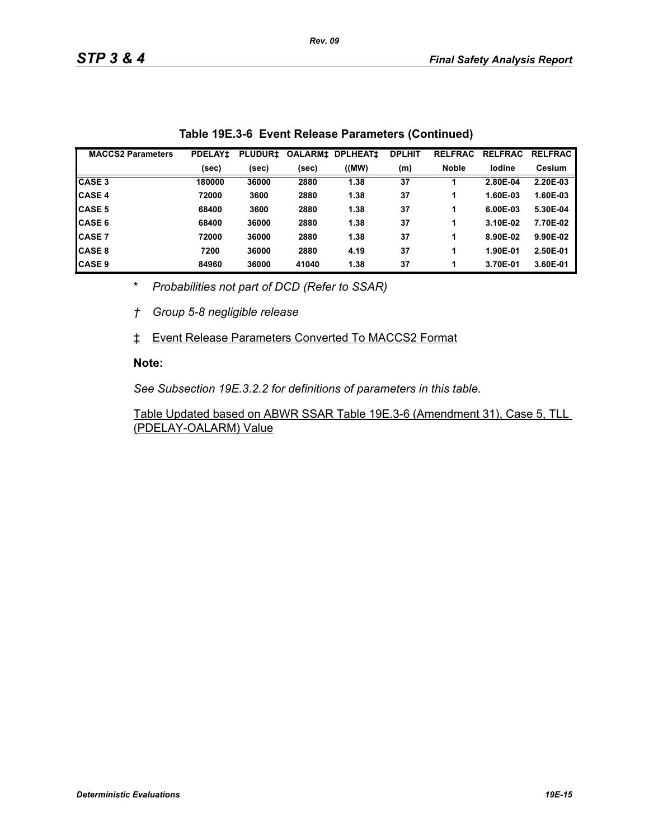| <b>MACCS2 Parameters</b> | <b>PDELAY1</b> | <b>PLUDUR1</b> | <b>OALARM‡</b> | <b>DPLHEAT1</b> | <b>DPLHIT</b> | <b>RELFRAC</b> | <b>RELFRAC</b> | <b>RELFRAC</b> |
|--------------------------|----------------|----------------|----------------|-----------------|---------------|----------------|----------------|----------------|
|                          | (sec)          | (sec)          | (sec)          | ((MW)           | (m)           | <b>Noble</b>   | lodine         | <b>Cesium</b>  |
| <b>CASE 3</b>            | 180000         | 36000          | 2880           | 1.38            | 37            |                | 2.80E-04       | 2.20E-03       |
| <b>CASE 4</b>            | 72000          | 3600           | 2880           | 1.38            | 37            |                | 1.60E-03       | 1.60E-03       |
| <b>CASE 5</b>            | 68400          | 3600           | 2880           | 1.38            | 37            |                | 6.00E-03       | 5.30E-04       |
| <b>CASE 6</b>            | 68400          | 36000          | 2880           | 1.38            | 37            |                | 3.10E-02       | 7.70E-02       |
| <b>CASE 7</b>            | 72000          | 36000          | 2880           | 1.38            | 37            | 1              | 8.90E-02       | 9.90E-02       |
| <b>CASE 8</b>            | 7200           | 36000          | 2880           | 4.19            | 37            |                | 1.90E-01       | 2.50E-01       |
| <b>CASE 9</b>            | 84960          | 36000          | 41040          | 1.38            | 37            |                | 3.70E-01       | 3.60E-01       |

\* *Probabilities not part of DCD (Refer to SSAR)*

*† Group 5-8 negligible release*

‡ Event Release Parameters Converted To MACCS2 Format

#### **Note:**

*See Subsection 19E.3.2.2 for definitions of parameters in this table.*

Table Updated based on ABWR SSAR Table 19E.3-6 (Amendment 31), Case 5, TLL (PDELAY-OALARM) Value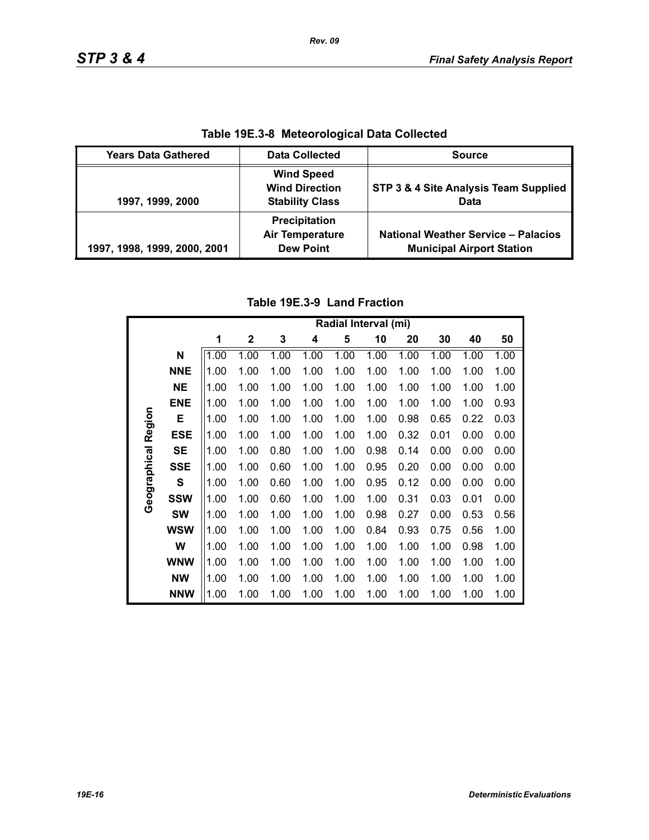| Table 19E.3-8 Meteorological Data Collected |                                                                      |                                                                                |  |  |  |  |
|---------------------------------------------|----------------------------------------------------------------------|--------------------------------------------------------------------------------|--|--|--|--|
| <b>Years Data Gathered</b>                  | <b>Data Collected</b>                                                | <b>Source</b>                                                                  |  |  |  |  |
| 1997, 1999, 2000                            | <b>Wind Speed</b><br><b>Wind Direction</b><br><b>Stability Class</b> | STP 3 & 4 Site Analysis Team Supplied<br>Data                                  |  |  |  |  |
| 1997, 1998, 1999, 2000, 2001                | Precipitation<br><b>Air Temperature</b><br><b>Dew Point</b>          | <b>National Weather Service - Palacios</b><br><b>Municipal Airport Station</b> |  |  |  |  |

**Table 19E.3-8 Meteorological Data Collected**

# **Table 19E.3-9 Land Fraction**

|                     |            | Radial Interval (mi) |              |      |      |      |      |      |      |      |      |
|---------------------|------------|----------------------|--------------|------|------|------|------|------|------|------|------|
|                     |            | 1                    | $\mathbf{2}$ | 3    | 4    | 5    | 10   | 20   | 30   | 40   | 50   |
|                     | N          | 1.00                 | 1.00         | 1.00 | 1.00 | 1.00 | 1.00 | 1.00 | 1.00 | 1.00 | 1.00 |
|                     | <b>NNE</b> | 1.00                 | 1.00         | 1.00 | 1.00 | 1.00 | 1.00 | 1.00 | 1.00 | 1.00 | 1.00 |
|                     | <b>NE</b>  | 1.00                 | 1.00         | 1.00 | 1.00 | 1.00 | 1.00 | 1.00 | 1.00 | 1.00 | 1.00 |
|                     | <b>ENE</b> | 1.00                 | 1.00         | 1.00 | 1.00 | 1.00 | 1.00 | 1.00 | 1.00 | 1.00 | 0.93 |
|                     | Е          | 1.00                 | 1.00         | 1.00 | 1.00 | 1.00 | 1.00 | 0.98 | 0.65 | 0.22 | 0.03 |
|                     | <b>ESE</b> | 1.00                 | 1.00         | 1.00 | 1.00 | 1.00 | 1.00 | 0.32 | 0.01 | 0.00 | 0.00 |
| Geographical Region | <b>SE</b>  | 1.00                 | 1.00         | 0.80 | 1.00 | 1.00 | 0.98 | 0.14 | 0.00 | 0.00 | 0.00 |
|                     | <b>SSE</b> | 1.00                 | 1.00         | 0.60 | 1.00 | 1.00 | 0.95 | 0.20 | 0.00 | 0.00 | 0.00 |
|                     | S          | 1.00                 | 1.00         | 0.60 | 1.00 | 1.00 | 0.95 | 0.12 | 0.00 | 0.00 | 0.00 |
|                     | <b>SSW</b> | 1.00                 | 1.00         | 0.60 | 1.00 | 1.00 | 1.00 | 0.31 | 0.03 | 0.01 | 0.00 |
|                     | <b>SW</b>  | 1.00                 | 1.00         | 1.00 | 1.00 | 1.00 | 0.98 | 0.27 | 0.00 | 0.53 | 0.56 |
|                     | <b>WSW</b> | 1.00                 | 1.00         | 1.00 | 1.00 | 1.00 | 0.84 | 0.93 | 0.75 | 0.56 | 1.00 |
|                     | W          | 1.00                 | 1.00         | 1.00 | 1.00 | 1.00 | 1.00 | 1.00 | 1.00 | 0.98 | 1.00 |
|                     | <b>WNW</b> | 1.00                 | 1.00         | 1.00 | 1.00 | 1.00 | 1.00 | 1.00 | 1.00 | 1.00 | 1.00 |
|                     | <b>NW</b>  | 1.00                 | 1.00         | 1.00 | 1.00 | 1.00 | 1.00 | 1.00 | 1.00 | 1.00 | 1.00 |
|                     | <b>NNW</b> | 1.00                 | 1.00         | 1.00 | 1.00 | 1.00 | 1.00 | 1.00 | 1.00 | 1.00 | 1.00 |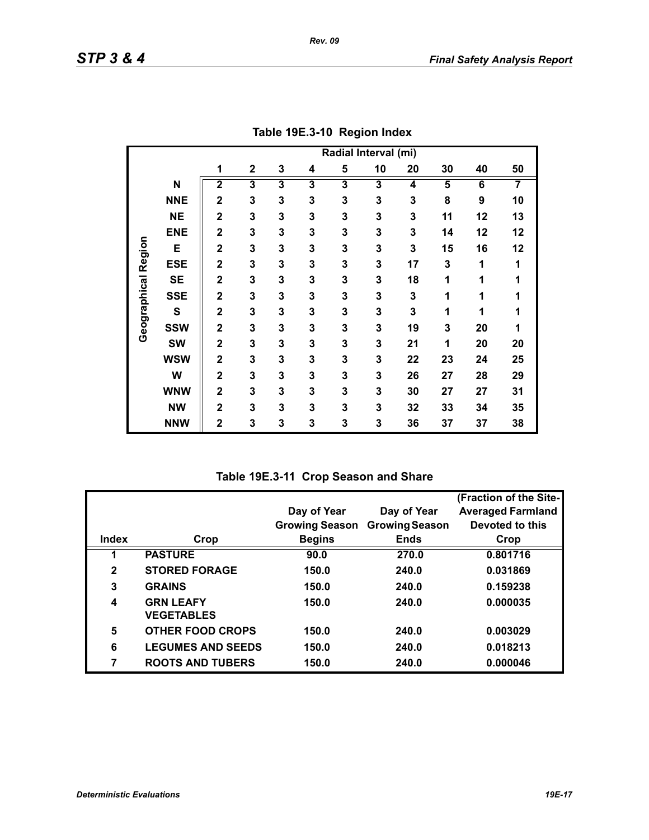|                     |             | Radial Interval (mi)    |                         |                         |                         |                         |    |    |                         |    |    |
|---------------------|-------------|-------------------------|-------------------------|-------------------------|-------------------------|-------------------------|----|----|-------------------------|----|----|
|                     |             | 1                       | $\mathbf 2$             | 3                       | 4                       | 5                       | 10 | 20 | 30                      | 40 | 50 |
|                     | N           | $\overline{\mathbf{2}}$ | $\overline{\mathbf{3}}$ | $\overline{\mathbf{3}}$ | $\overline{\mathbf{3}}$ | $\overline{\mathbf{3}}$ | 3  | 4  | $\overline{\mathbf{5}}$ | 6  | 7  |
|                     | <b>NNE</b>  | $\overline{2}$          | 3                       | 3                       | 3                       | 3                       | 3  | 3  | 8                       | 9  | 10 |
|                     | <b>NE</b>   | $\overline{2}$          | 3                       | 3                       | 3                       | 3                       | 3  | 3  | 11                      | 12 | 13 |
|                     | <b>ENE</b>  | $\overline{2}$          | 3                       | 3                       | 3                       | 3                       | 3  | 3  | 14                      | 12 | 12 |
|                     | E           | $\overline{2}$          | 3                       | 3                       | 3                       | 3                       | 3  | 3  | 15                      | 16 | 12 |
| Geographical Region | <b>ESE</b>  | $\mathbf 2$             | 3                       | 3                       | 3                       | 3                       | 3  | 17 | 3                       | 1  | 1  |
|                     | <b>SE</b>   | $\mathbf 2$             | 3                       | 3                       | 3                       | 3                       | 3  | 18 | 1                       | 1  | 1  |
|                     | <b>SSE</b>  | $\overline{2}$          | 3                       | 3                       | 3                       | 3                       | 3  | 3  | 1                       | 1  | 1  |
|                     | $\mathbf s$ | $\mathbf 2$             | 3                       | 3                       | 3                       | 3                       | 3  | 3  | 1                       | 1  | 1  |
|                     | <b>SSW</b>  | $\overline{2}$          | 3                       | 3                       | 3                       | 3                       | 3  | 19 | 3                       | 20 | 1  |
|                     | <b>SW</b>   | $\overline{2}$          | 3                       | 3                       | 3                       | 3                       | 3  | 21 | 1                       | 20 | 20 |
|                     | <b>WSW</b>  | $\overline{\mathbf{2}}$ | 3                       | 3                       | 3                       | 3                       | 3  | 22 | 23                      | 24 | 25 |
|                     | W           | $\overline{\mathbf{2}}$ | 3                       | 3                       | 3                       | 3                       | 3  | 26 | 27                      | 28 | 29 |
|                     | <b>WNW</b>  | $\mathbf 2$             | 3                       | 3                       | 3                       | 3                       | 3  | 30 | 27                      | 27 | 31 |
|                     | <b>NW</b>   | $\overline{\mathbf{2}}$ | 3                       | 3                       | 3                       | 3                       | 3  | 32 | 33                      | 34 | 35 |
|                     | <b>NNW</b>  | $\mathbf 2$             | 3                       | 3                       | 3                       | 3                       | 3  | 36 | 37                      | 37 | 38 |

**Table 19E.3-10 Region Index**

**Table 19E.3-11 Crop Season and Share**

|              |                                       |                       |                       | (Fraction of the Site-   |
|--------------|---------------------------------------|-----------------------|-----------------------|--------------------------|
|              |                                       | Day of Year           | Day of Year           | <b>Averaged Farmland</b> |
|              |                                       | <b>Growing Season</b> | <b>Growing Season</b> | Devoted to this          |
| Index        | Crop                                  | <b>Begins</b>         | <b>Ends</b>           | Crop                     |
|              | <b>PASTURE</b>                        | 90.0                  | 270.0                 | 0.801716                 |
| $\mathbf{2}$ | <b>STORED FORAGE</b>                  | 150.0                 | 240.0                 | 0.031869                 |
| 3            | <b>GRAINS</b>                         | 150.0                 | 240.0                 | 0.159238                 |
| 4            | <b>GRN LEAFY</b><br><b>VEGETABLES</b> | 150.0                 | 240.0                 | 0.000035                 |
|              |                                       |                       |                       |                          |
| 5            | <b>OTHER FOOD CROPS</b>               | 150.0                 | 240.0                 | 0.003029                 |
| 6            | <b>LEGUMES AND SEEDS</b>              | 150.0                 | 240.0                 | 0.018213                 |
| 7            | <b>ROOTS AND TUBERS</b>               | 150.0                 | 240.0                 | 0.000046                 |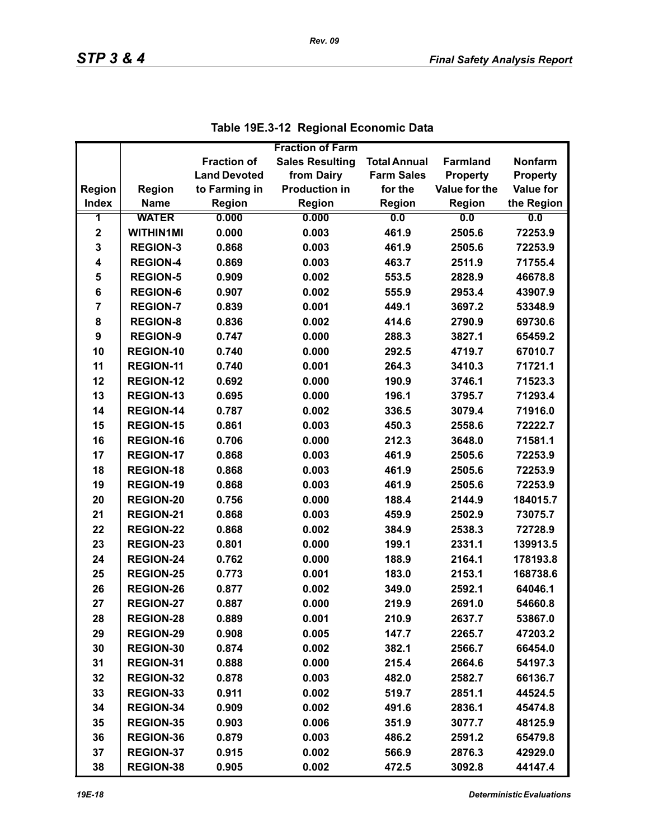|                |                  |                     | <b>Fraction of Farm</b> |                     |                 |                  |
|----------------|------------------|---------------------|-------------------------|---------------------|-----------------|------------------|
|                |                  | <b>Fraction of</b>  | <b>Sales Resulting</b>  | <b>Total Annual</b> | <b>Farmland</b> | <b>Nonfarm</b>   |
|                |                  | <b>Land Devoted</b> | from Dairy              | <b>Farm Sales</b>   | <b>Property</b> | <b>Property</b>  |
| Region         | <b>Region</b>    | to Farming in       | <b>Production in</b>    | for the             | Value for the   | <b>Value for</b> |
| <b>Index</b>   | <b>Name</b>      | <b>Region</b>       | Region                  | <b>Region</b>       | Region          | the Region       |
| 1              | <b>WATER</b>     | 0.000               | 0.000                   | 0.0                 | 0.0             | 0.0              |
| $\mathbf 2$    | <b>WITHIN1MI</b> | 0.000               | 0.003                   | 461.9               | 2505.6          | 72253.9          |
| 3              | <b>REGION-3</b>  | 0.868               | 0.003                   | 461.9               | 2505.6          | 72253.9          |
| 4              | <b>REGION-4</b>  | 0.869               | 0.003                   | 463.7               | 2511.9          | 71755.4          |
| 5              | <b>REGION-5</b>  | 0.909               | 0.002                   | 553.5               | 2828.9          | 46678.8          |
| 6              | <b>REGION-6</b>  | 0.907               | 0.002                   | 555.9               | 2953.4          | 43907.9          |
| $\overline{7}$ | <b>REGION-7</b>  | 0.839               | 0.001                   | 449.1               | 3697.2          | 53348.9          |
| 8              | <b>REGION-8</b>  | 0.836               | 0.002                   | 414.6               | 2790.9          | 69730.6          |
| 9              | <b>REGION-9</b>  | 0.747               | 0.000                   | 288.3               | 3827.1          | 65459.2          |
| 10             | <b>REGION-10</b> | 0.740               | 0.000                   | 292.5               | 4719.7          | 67010.7          |
| 11             | <b>REGION-11</b> | 0.740               | 0.001                   | 264.3               | 3410.3          | 71721.1          |
| 12             | <b>REGION-12</b> | 0.692               | 0.000                   | 190.9               | 3746.1          | 71523.3          |
| 13             | <b>REGION-13</b> | 0.695               | 0.000                   | 196.1               | 3795.7          | 71293.4          |
| 14             | <b>REGION-14</b> | 0.787               | 0.002                   | 336.5               | 3079.4          | 71916.0          |
| 15             | <b>REGION-15</b> | 0.861               | 0.003                   | 450.3               | 2558.6          | 72222.7          |
| 16             | <b>REGION-16</b> | 0.706               | 0.000                   | 212.3               | 3648.0          | 71581.1          |
| 17             | <b>REGION-17</b> | 0.868               | 0.003                   | 461.9               | 2505.6          | 72253.9          |
| 18             | <b>REGION-18</b> | 0.868               | 0.003                   | 461.9               | 2505.6          | 72253.9          |
| 19             | <b>REGION-19</b> | 0.868               | 0.003                   | 461.9               | 2505.6          | 72253.9          |
| 20             | <b>REGION-20</b> | 0.756               | 0.000                   | 188.4               | 2144.9          | 184015.7         |
| 21             | REGION-21        | 0.868               | 0.003                   | 459.9               | 2502.9          | 73075.7          |
| 22             | <b>REGION-22</b> | 0.868               | 0.002                   | 384.9               | 2538.3          | 72728.9          |
| 23             | <b>REGION-23</b> | 0.801               | 0.000                   | 199.1               | 2331.1          | 139913.5         |
| 24             | <b>REGION-24</b> | 0.762               | 0.000                   | 188.9               | 2164.1          | 178193.8         |
| 25             | <b>REGION-25</b> | 0.773               | 0.001                   | 183.0               | 2153.1          | 168738.6         |
| 26             | <b>REGION-26</b> | 0.877               | 0.002                   | 349.0               | 2592.1          | 64046.1          |
| 27             | <b>REGION-27</b> | 0.887               | 0.000                   | 219.9               | 2691.0          | 54660.8          |
| 28             | <b>REGION-28</b> | 0.889               | 0.001                   | 210.9               | 2637.7          | 53867.0          |
| 29             | <b>REGION-29</b> | 0.908               | 0.005                   | 147.7               | 2265.7          | 47203.2          |
| 30             | REGION-30        | 0.874               | 0.002                   | 382.1               | 2566.7          | 66454.0          |
| 31             | REGION-31        | 0.888               | 0.000                   | 215.4               | 2664.6          | 54197.3          |
| 32             | <b>REGION-32</b> | 0.878               | 0.003                   | 482.0               | 2582.7          | 66136.7          |
| 33             | REGION-33        | 0.911               | 0.002                   | 519.7               | 2851.1          | 44524.5          |
| 34             | REGION-34        | 0.909               | 0.002                   | 491.6               | 2836.1          | 45474.8          |
| 35             | <b>REGION-35</b> | 0.903               | 0.006                   | 351.9               | 3077.7          | 48125.9          |
| 36             | REGION-36        | 0.879               | 0.003                   | 486.2               | 2591.2          | 65479.8          |
| 37             | <b>REGION-37</b> | 0.915               | 0.002                   | 566.9               | 2876.3          | 42929.0          |
| 38             | <b>REGION-38</b> | 0.905               | 0.002                   | 472.5               | 3092.8          | 44147.4          |

|  | Table 19E.3-12 Regional Economic Data |
|--|---------------------------------------|
|--|---------------------------------------|

*Rev. 09*